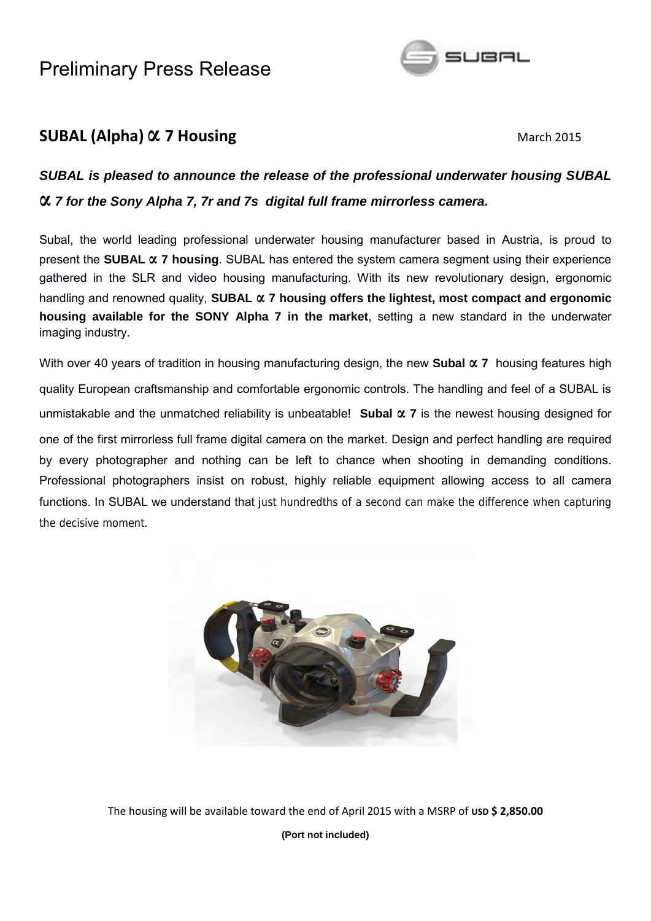

### **SUBAL (Alpha)**  $\alpha$  **7 Housing <b>All 2015** March 2015

### *SUBAL is pleased to announce the release of the professional underwater housing SUBAL* **α** *<sup>7</sup> for the Sony Alpha 7, 7r and 7s digital full frame mirrorless camera.*

Subal, the world leading professional underwater housing manufacturer based in Austria, is proud to present the **SUBAL α <sup>7</sup> housing**. SUBAL has entered the system camera segment using their experience gathered in the SLR and video housing manufacturing. With its new revolutionary design, ergonomic handling and renowned quality, **SUBAL α 7 housing offers the lightest, most compact and ergonomic housing available for the SONY Alpha 7 in the market**, setting a new standard in the underwater imaging industry.

With over 40 years of tradition in housing manufacturing design, the new **Subal α <sup>7</sup>** housing features high quality European craftsmanship and comfortable ergonomic controls. The handling and feel of a SUBAL is unmistakable and the unmatched reliability is unbeatable! **Subal α <sup>7</sup>** is the newest housing designed for one of the first mirrorless full frame digital camera on the market. Design and perfect handling are required by every photographer and nothing can be left to chance when shooting in demanding conditions. Professional photographers insist on robust, highly reliable equipment allowing access to all camera functions. In SUBAL we understand that just hundredths of a second can make the difference when capturing the decisive moment.



The housing will be available toward the end of April 2015 with a MSRP of **USD \$ 2,850.00**

**(Port not included)**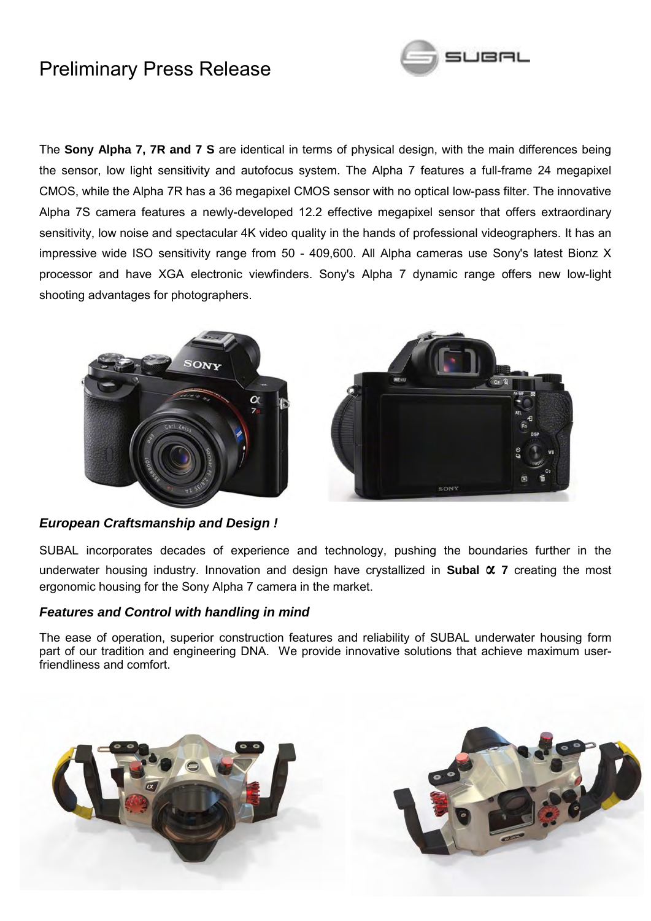

The **Sony Alpha 7, 7R and 7 S** are identical in terms of physical design, with the main differences being the sensor, low light sensitivity and autofocus system. The Alpha 7 features a full-frame 24 megapixel CMOS, while the Alpha 7R has a 36 megapixel CMOS sensor with no optical low-pass filter. The innovative Alpha 7S camera features a newly-developed 12.2 effective megapixel sensor that offers extraordinary sensitivity, low noise and spectacular 4K video quality in the hands of professional videographers. It has an impressive wide ISO sensitivity range from 50 - 409,600. All Alpha cameras use Sony's latest Bionz X processor and have XGA electronic viewfinders. Sony's Alpha 7 dynamic range offers new low-light shooting advantages for photographers.





#### *European Craftsmanship and Design !*

SUBAL incorporates decades of experience and technology, pushing the boundaries further in the underwater housing industry. Innovation and design have crystallized in **Subal α <sup>7</sup>** creating the most ergonomic housing for the Sony Alpha 7 camera in the market.

#### *Features and Control with handling in mind*

The ease of operation, superior construction features and reliability of SUBAL underwater housing form part of our tradition and engineering DNA. We provide innovative solutions that achieve maximum userfriendliness and comfort.



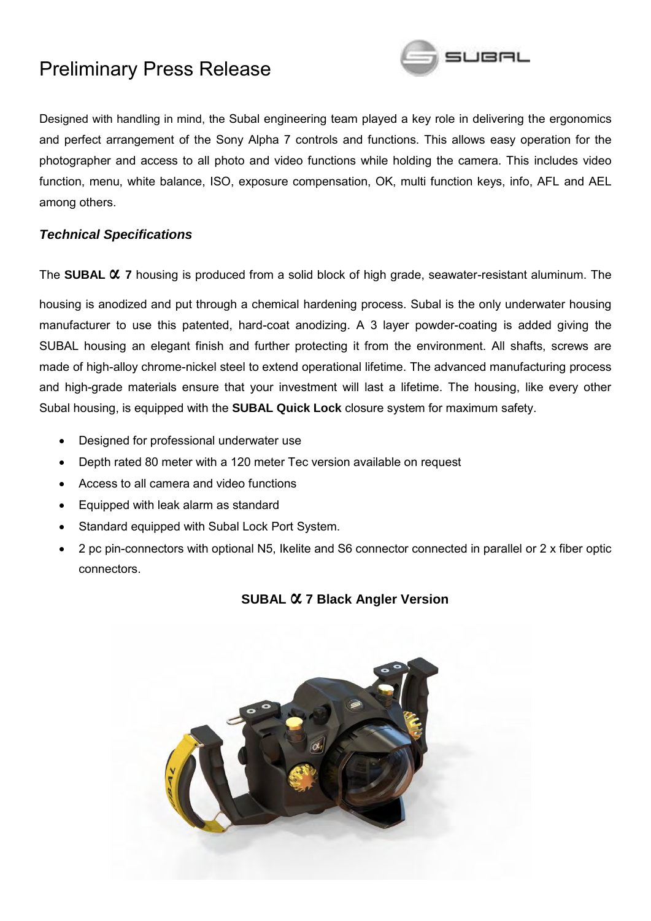

Designed with handling in mind, the Subal engineering team played a key role in delivering the ergonomics and perfect arrangement of the Sony Alpha 7 controls and functions. This allows easy operation for the photographer and access to all photo and video functions while holding the camera. This includes video function, menu, white balance, ISO, exposure compensation, OK, multi function keys, info, AFL and AEL among others.

#### *Technical Specifications*

The **SUBAL α <sup>7</sup>** housing is produced from a solid block of high grade, seawater-resistant aluminum. The

housing is anodized and put through a chemical hardening process. Subal is the only underwater housing manufacturer to use this patented, hard-coat anodizing. A 3 layer powder-coating is added giving the SUBAL housing an elegant finish and further protecting it from the environment. All shafts, screws are made of high-alloy chrome-nickel steel to extend operational lifetime. The advanced manufacturing process and high-grade materials ensure that your investment will last a lifetime. The housing, like every other Subal housing, is equipped with the **SUBAL Quick Lock** closure system for maximum safety.

- Designed for professional underwater use
- Depth rated 80 meter with a 120 meter Tec version available on request
- Access to all camera and video functions
- Equipped with leak alarm as standard
- Standard equipped with Subal Lock Port System.
- 2 pc pin-connectors with optional N5, Ikelite and S6 connector connected in parallel or 2 x fiber optic connectors.



#### **SUBAL α 7 Black Angler Version**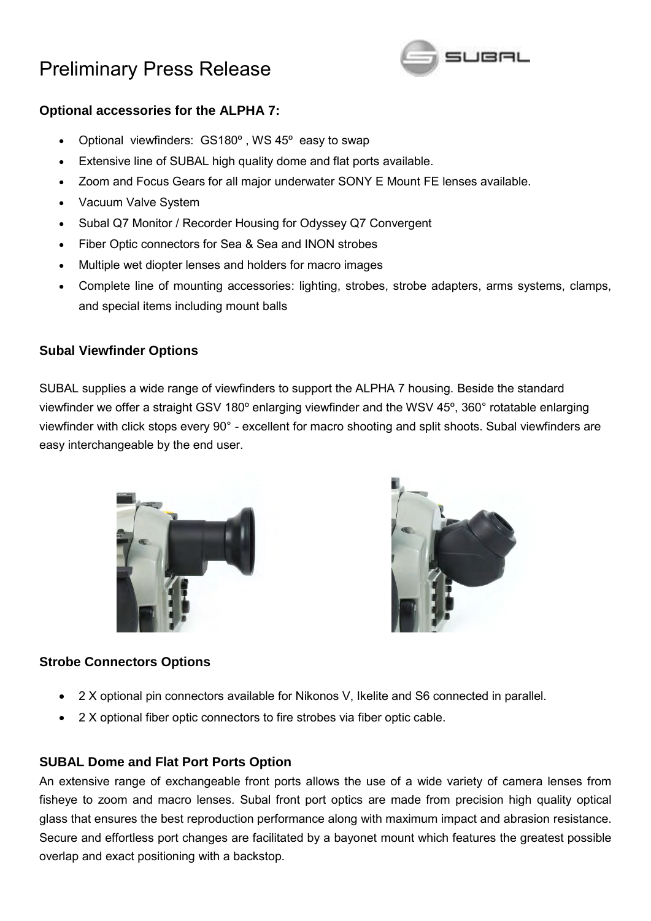

### **Optional accessories for the ALPHA 7:**

- Optional viewfinders: GS180º , WS 45º easy to swap
- Extensive line of SUBAL high quality dome and flat ports available.
- Zoom and Focus Gears for all major underwater SONY E Mount FE lenses available.
- Vacuum Valve System
- Subal Q7 Monitor / Recorder Housing for Odyssey Q7 Convergent
- Fiber Optic connectors for Sea & Sea and INON strobes
- Multiple wet diopter lenses and holders for macro images
- Complete line of mounting accessories: lighting, strobes, strobe adapters, arms systems, clamps, and special items including mount balls

### **Subal Viewfinder Options**

SUBAL supplies a wide range of viewfinders to support the ALPHA 7 housing. Beside the standard viewfinder we offer a straight GSV 180º enlarging viewfinder and the WSV 45º, 360° rotatable enlarging viewfinder with click stops every 90° - excellent for macro shooting and split shoots. Subal viewfinders are easy interchangeable by the end user.





### **Strobe Connectors Options**

- 2 X optional pin connectors available for Nikonos V, Ikelite and S6 connected in parallel.
- 2 X optional fiber optic connectors to fire strobes via fiber optic cable.

### **SUBAL Dome and Flat Port Ports Option**

An extensive range of exchangeable front ports allows the use of a wide variety of camera lenses from fisheye to zoom and macro lenses. Subal front port optics are made from precision high quality optical glass that ensures the best reproduction performance along with maximum impact and abrasion resistance. Secure and effortless port changes are facilitated by a bayonet mount which features the greatest possible overlap and exact positioning with a backstop.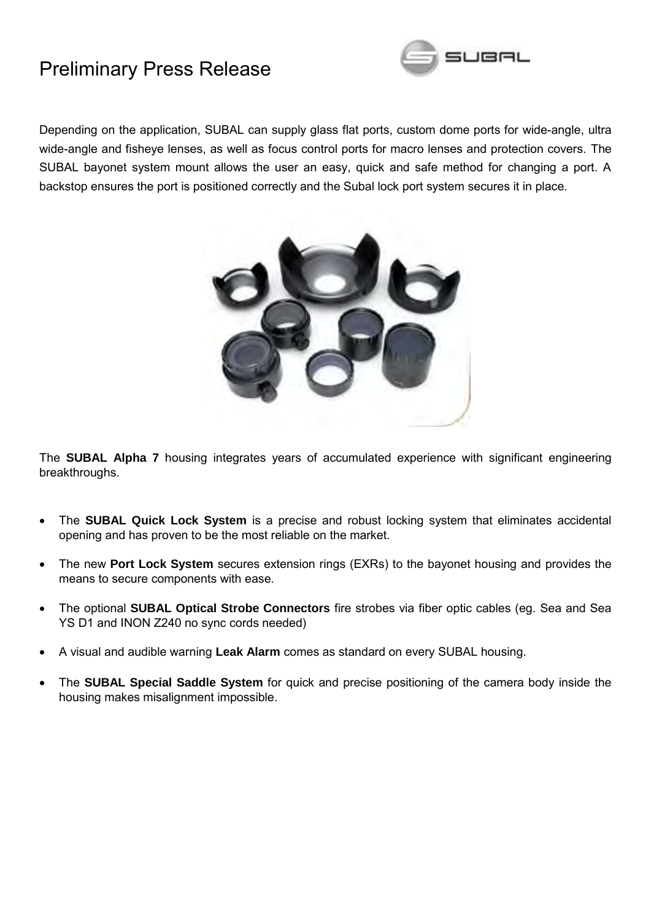

Depending on the application, SUBAL can supply glass flat ports, custom dome ports for wide-angle, ultra wide-angle and fisheye lenses, as well as focus control ports for macro lenses and protection covers. The SUBAL bayonet system mount allows the user an easy, quick and safe method for changing a port. A backstop ensures the port is positioned correctly and the Subal lock port system secures it in place.



The **SUBAL Alpha 7** housing integrates years of accumulated experience with significant engineering breakthroughs.

- The **SUBAL Quick Lock System** is a precise and robust locking system that eliminates accidental opening and has proven to be the most reliable on the market.
- The new **Port Lock System** secures extension rings (EXRs) to the bayonet housing and provides the means to secure components with ease.
- The optional **SUBAL Optical Strobe Connectors** fire strobes via fiber optic cables (eg. Sea and Sea YS D1 and INON Z240 no sync cords needed)
- A visual and audible warning **Leak Alarm** comes as standard on every SUBAL housing.
- The **SUBAL Special Saddle System** for quick and precise positioning of the camera body inside the housing makes misalignment impossible.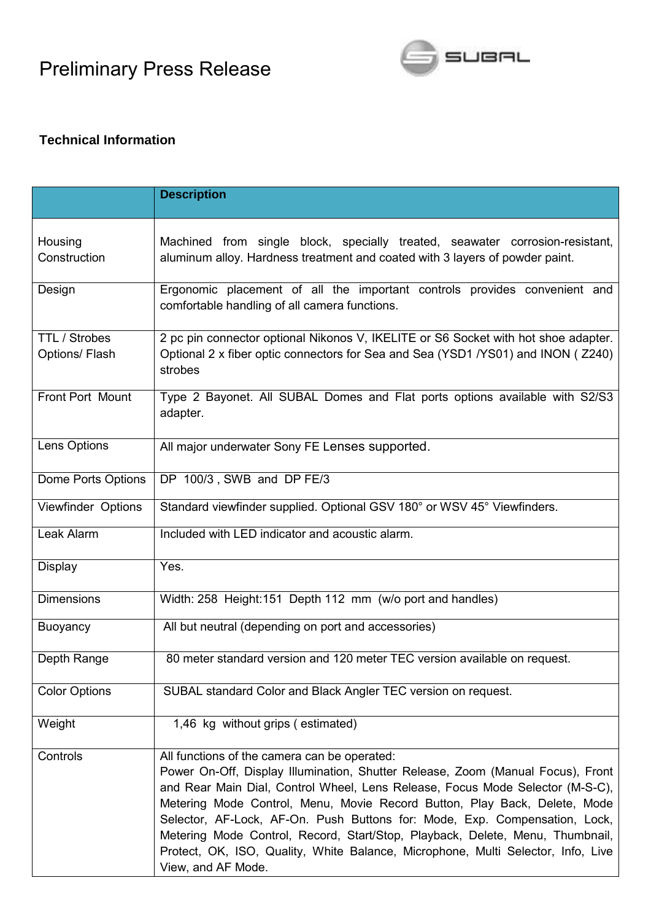

### **Technical Information**

|                                        | <b>Description</b>                                                                                                                                                                                                                                                                                                                                                                                                                                                                                                                                                     |
|----------------------------------------|------------------------------------------------------------------------------------------------------------------------------------------------------------------------------------------------------------------------------------------------------------------------------------------------------------------------------------------------------------------------------------------------------------------------------------------------------------------------------------------------------------------------------------------------------------------------|
| Housing<br>Construction                | Machined from single block, specially treated, seawater corrosion-resistant,<br>aluminum alloy. Hardness treatment and coated with 3 layers of powder paint.                                                                                                                                                                                                                                                                                                                                                                                                           |
| Design                                 | Ergonomic placement of all the important controls provides convenient and<br>comfortable handling of all camera functions.                                                                                                                                                                                                                                                                                                                                                                                                                                             |
| <b>TTL / Strobes</b><br>Options/ Flash | 2 pc pin connector optional Nikonos V, IKELITE or S6 Socket with hot shoe adapter.<br>Optional 2 x fiber optic connectors for Sea and Sea (YSD1 /YS01) and INON (Z240)<br>strobes                                                                                                                                                                                                                                                                                                                                                                                      |
| Front Port Mount                       | Type 2 Bayonet. All SUBAL Domes and Flat ports options available with S2/S3<br>adapter.                                                                                                                                                                                                                                                                                                                                                                                                                                                                                |
| Lens Options                           | All major underwater Sony FE Lenses supported.                                                                                                                                                                                                                                                                                                                                                                                                                                                                                                                         |
| Dome Ports Options                     | DP 100/3, SWB and DP FE/3                                                                                                                                                                                                                                                                                                                                                                                                                                                                                                                                              |
| Viewfinder Options                     | Standard viewfinder supplied. Optional GSV 180° or WSV 45° Viewfinders.                                                                                                                                                                                                                                                                                                                                                                                                                                                                                                |
| Leak Alarm                             | Included with LED indicator and acoustic alarm.                                                                                                                                                                                                                                                                                                                                                                                                                                                                                                                        |
| Display                                | Yes.                                                                                                                                                                                                                                                                                                                                                                                                                                                                                                                                                                   |
| <b>Dimensions</b>                      | Width: 258 Height: 151 Depth 112 mm (w/o port and handles)                                                                                                                                                                                                                                                                                                                                                                                                                                                                                                             |
| <b>Buoyancy</b>                        | All but neutral (depending on port and accessories)                                                                                                                                                                                                                                                                                                                                                                                                                                                                                                                    |
| Depth Range                            | 80 meter standard version and 120 meter TEC version available on request.                                                                                                                                                                                                                                                                                                                                                                                                                                                                                              |
| <b>Color Options</b>                   | SUBAL standard Color and Black Angler TEC version on request.                                                                                                                                                                                                                                                                                                                                                                                                                                                                                                          |
| Weight                                 | 1,46 kg without grips (estimated)                                                                                                                                                                                                                                                                                                                                                                                                                                                                                                                                      |
| Controls                               | All functions of the camera can be operated:<br>Power On-Off, Display Illumination, Shutter Release, Zoom (Manual Focus), Front<br>and Rear Main Dial, Control Wheel, Lens Release, Focus Mode Selector (M-S-C),<br>Metering Mode Control, Menu, Movie Record Button, Play Back, Delete, Mode<br>Selector, AF-Lock, AF-On. Push Buttons for: Mode, Exp. Compensation, Lock,<br>Metering Mode Control, Record, Start/Stop, Playback, Delete, Menu, Thumbnail,<br>Protect, OK, ISO, Quality, White Balance, Microphone, Multi Selector, Info, Live<br>View, and AF Mode. |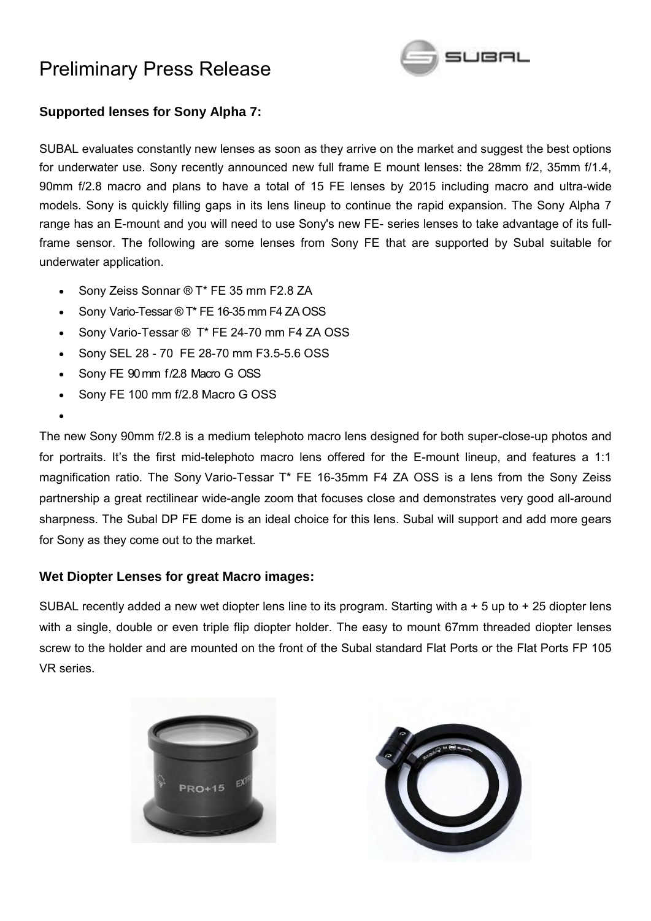

### **Supported lenses for Sony Alpha 7:**

SUBAL evaluates constantly new lenses as soon as they arrive on the market and suggest the best options for underwater use. Sony recently announced new full frame E mount lenses: the 28mm f/2, 35mm f/1.4, 90mm f/2.8 macro and plans to have a total of 15 FE lenses by 2015 including macro and ultra-wide models. Sony is quickly filling gaps in its lens lineup to continue the rapid expansion. The Sony Alpha 7 range has an E-mount and you will need to use Sony's new FE- series lenses to take advantage of its fullframe sensor. The following are some lenses from Sony FE that are supported by Subal suitable for underwater application.

- Sony Zeiss Sonnar ® T\* FE 35 mm F2.8 ZA
- Sony Vario-Tessar ® T\* FE 16-35 mm F4 ZA OSS
- Sony Vario-Tessar ® T\* FE 24-70 mm F4 ZA OSS
- Sony SEL 28 70 FE 28-70 mm F3.5-5.6 OSS
- Sony FE 90 mm f/2.8 Macro G OSS

 $\bullet$ 

Sony FE 100 mm f/2.8 Macro G OSS

The new Sony 90mm f/2.8 is a medium telephoto macro lens designed for both super-close-up photos and for portraits. It's the first mid-telephoto macro lens offered for the E-mount lineup, and features a 1:1 magnification ratio. The Sony Vario-Tessar T\* FE 16-35mm F4 ZA OSS is a lens from the Sony Zeiss partnership a great rectilinear wide-angle zoom that focuses close and demonstrates very good all-around sharpness. The Subal DP FE dome is an ideal choice for this lens. Subal will support and add more gears for Sony as they come out to the market.

#### **Wet Diopter Lenses for great Macro images:**

SUBAL recently added a new wet diopter lens line to its program. Starting with a + 5 up to + 25 diopter lens with a single, double or even triple flip diopter holder. The easy to mount 67mm threaded diopter lenses screw to the holder and are mounted on the front of the Subal standard Flat Ports or the Flat Ports FP 105 VR series.